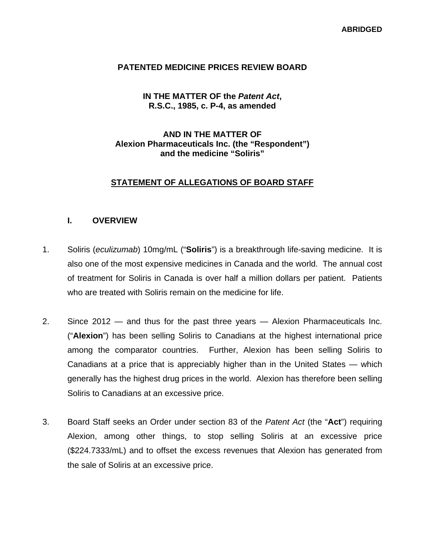### **PATENTED MEDICINE PRICES REVIEW BOARD**

# **IN THE MATTER OF the** *Patent Act***, R.S.C., 1985, c. P-4, as amended**

# **AND IN THE MATTER OF Alexion Pharmaceuticals Inc. (the "Respondent") and the medicine "Soliris"**

# **STATEMENT OF ALLEGATIONS OF BOARD STAFF**

# **I. OVERVIEW**

- 1. Soliris (*eculizumab*) 10mg/mL ("**Soliris**") is a breakthrough life-saving medicine. It is also one of the most expensive medicines in Canada and the world. The annual cost of treatment for Soliris in Canada is over half a million dollars per patient. Patients who are treated with Soliris remain on the medicine for life.
- 2. Since 2012 and thus for the past three years Alexion Pharmaceuticals Inc. ("**Alexion**") has been selling Soliris to Canadians at the highest international price among the comparator countries. Further, Alexion has been selling Soliris to Canadians at a price that is appreciably higher than in the United States — which generally has the highest drug prices in the world. Alexion has therefore been selling Soliris to Canadians at an excessive price.
- 3. Board Staff seeks an Order under section 83 of the *Patent Act* (the "**Act**") requiring Alexion, among other things, to stop selling Soliris at an excessive price (\$224.7333/mL) and to offset the excess revenues that Alexion has generated from the sale of Soliris at an excessive price.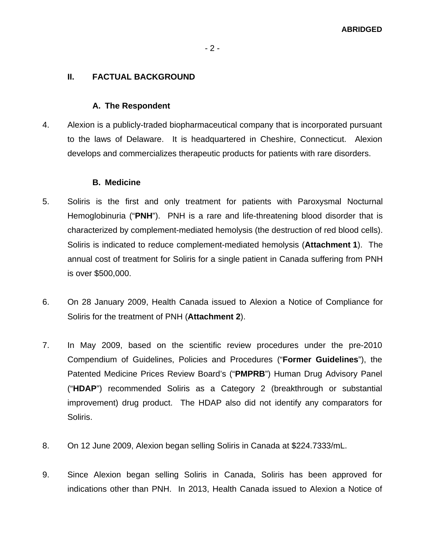# - 2 -

# **II. FACTUAL BACKGROUND**

#### **A. The Respondent**

4. Alexion is a publicly-traded biopharmaceutical company that is incorporated pursuant to the laws of Delaware. It is headquartered in Cheshire, Connecticut. Alexion develops and commercializes therapeutic products for patients with rare disorders.

#### **B. Medicine**

- 5. Soliris is the first and only treatment for patients with Paroxysmal Nocturnal Hemoglobinuria ("**PNH**"). PNH is a rare and life-threatening blood disorder that is characterized by complement-mediated hemolysis (the destruction of red blood cells). Soliris is indicated to reduce complement-mediated hemolysis (**Attachment 1**). The annual cost of treatment for Soliris for a single patient in Canada suffering from PNH is over \$500,000.
- 6. On 28 January 2009, Health Canada issued to Alexion a Notice of Compliance for Soliris for the treatment of PNH (**Attachment 2**).
- 7. In May 2009, based on the scientific review procedures under the pre-2010 Compendium of Guidelines, Policies and Procedures ("**Former Guidelines**"), the Patented Medicine Prices Review Board's ("**PMPRB**") Human Drug Advisory Panel ("**HDAP**") recommended Soliris as a Category 2 (breakthrough or substantial improvement) drug product. The HDAP also did not identify any comparators for Soliris.
- 8. On 12 June 2009, Alexion began selling Soliris in Canada at \$224.7333/mL.
- 9. Since Alexion began selling Soliris in Canada, Soliris has been approved for indications other than PNH. In 2013, Health Canada issued to Alexion a Notice of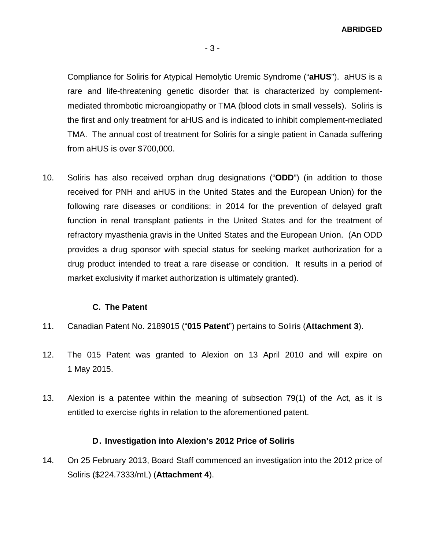Compliance for Soliris for Atypical Hemolytic Uremic Syndrome ("**aHUS**"). aHUS is a rare and life-threatening genetic disorder that is characterized by complementmediated thrombotic microangiopathy or TMA (blood clots in small vessels). Soliris is the first and only treatment for aHUS and is indicated to inhibit complement-mediated TMA. The annual cost of treatment for Soliris for a single patient in Canada suffering from aHUS is over \$700,000.

10. Soliris has also received orphan drug designations ("**ODD**") (in addition to those received for PNH and aHUS in the United States and the European Union) for the following rare diseases or conditions: in 2014 for the prevention of delayed graft function in renal transplant patients in the United States and for the treatment of refractory myasthenia gravis in the United States and the European Union. (An ODD provides a drug sponsor with special status for seeking market authorization for a drug product intended to treat a rare disease or condition. It results in a period of market exclusivity if market authorization is ultimately granted).

#### **C. The Patent**

- 11. Canadian Patent No. 2189015 ("**015 Patent**") pertains to Soliris (**Attachment 3**).
- 12. The 015 Patent was granted to Alexion on 13 April 2010 and will expire on 1 May 2015.
- 13. Alexion is a patentee within the meaning of subsection 79(1) of the Act*,* as it is entitled to exercise rights in relation to the aforementioned patent.

# **D. Investigation into Alexion's 2012 Price of Soliris**

14. On 25 February 2013, Board Staff commenced an investigation into the 2012 price of Soliris (\$224.7333/mL) (**Attachment 4**).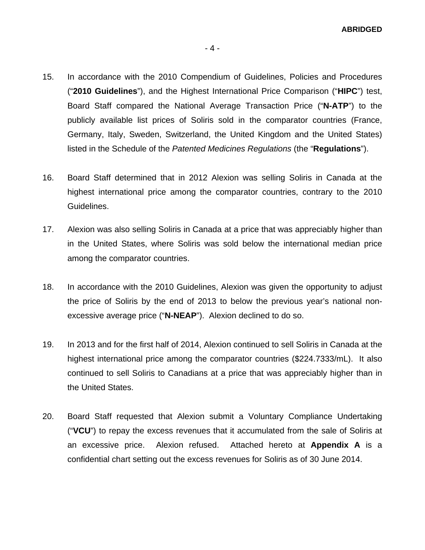- 15. In accordance with the 2010 Compendium of Guidelines, Policies and Procedures ("**2010 Guidelines**"), and the Highest International Price Comparison ("**HIPC**") test, Board Staff compared the National Average Transaction Price ("**N-ATP**") to the publicly available list prices of Soliris sold in the comparator countries (France, Germany, Italy, Sweden, Switzerland, the United Kingdom and the United States) listed in the Schedule of the *Patented Medicines Regulations* (the "**Regulations**").
- 16. Board Staff determined that in 2012 Alexion was selling Soliris in Canada at the highest international price among the comparator countries, contrary to the 2010 Guidelines.
- 17. Alexion was also selling Soliris in Canada at a price that was appreciably higher than in the United States, where Soliris was sold below the international median price among the comparator countries.
- 18. In accordance with the 2010 Guidelines, Alexion was given the opportunity to adjust the price of Soliris by the end of 2013 to below the previous year's national nonexcessive average price ("**N-NEAP**"). Alexion declined to do so.
- 19. In 2013 and for the first half of 2014, Alexion continued to sell Soliris in Canada at the highest international price among the comparator countries (\$224.7333/mL). It also continued to sell Soliris to Canadians at a price that was appreciably higher than in the United States.
- 20. Board Staff requested that Alexion submit a Voluntary Compliance Undertaking ("**VCU**") to repay the excess revenues that it accumulated from the sale of Soliris at an excessive price. Alexion refused. Attached hereto at **Appendix A** is a confidential chart setting out the excess revenues for Soliris as of 30 June 2014.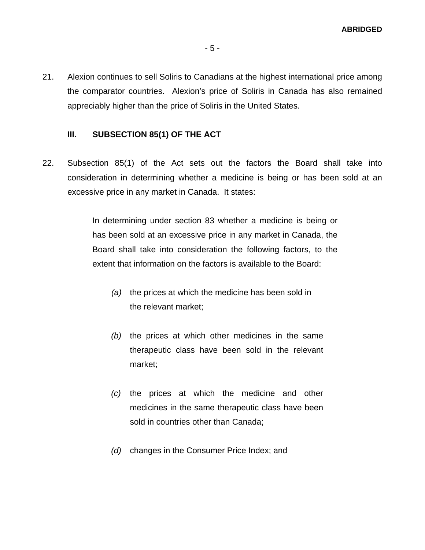21. Alexion continues to sell Soliris to Canadians at the highest international price among the comparator countries. Alexion's price of Soliris in Canada has also remained appreciably higher than the price of Soliris in the United States.

# **III. SUBSECTION 85(1) OF THE ACT**

22. Subsection 85(1) of the Act sets out the factors the Board shall take into consideration in determining whether a medicine is being or has been sold at an excessive price in any market in Canada. It states:

> In determining under section 83 whether a medicine is being or has been sold at an excessive price in any market in Canada, the Board shall take into consideration the following factors, to the extent that information on the factors is available to the Board:

- *(a)* the prices at which the medicine has been sold in the relevant market;
- *(b)* the prices at which other medicines in the same therapeutic class have been sold in the relevant market;
- *(c)* the prices at which the medicine and other medicines in the same therapeutic class have been sold in countries other than Canada;
- *(d)* changes in the Consumer Price Index; and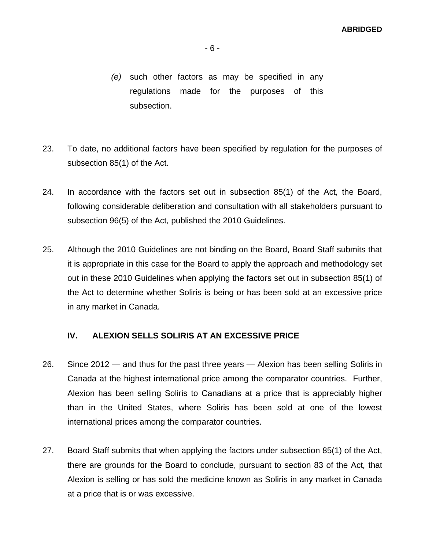- *(e)* such other factors as may be specified in any regulations made for the purposes of this subsection.
- 23. To date, no additional factors have been specified by regulation for the purposes of subsection 85(1) of the Act.
- 24. In accordance with the factors set out in subsection 85(1) of the Act*,* the Board, following considerable deliberation and consultation with all stakeholders pursuant to subsection 96(5) of the Act*,* published the 2010 Guidelines.
- 25. Although the 2010 Guidelines are not binding on the Board, Board Staff submits that it is appropriate in this case for the Board to apply the approach and methodology set out in these 2010 Guidelines when applying the factors set out in subsection 85(1) of the Act to determine whether Soliris is being or has been sold at an excessive price in any market in Canada*.*

### **IV. ALEXION SELLS SOLIRIS AT AN EXCESSIVE PRICE**

- 26. Since 2012 and thus for the past three years Alexion has been selling Soliris in Canada at the highest international price among the comparator countries. Further, Alexion has been selling Soliris to Canadians at a price that is appreciably higher than in the United States, where Soliris has been sold at one of the lowest international prices among the comparator countries.
- 27. Board Staff submits that when applying the factors under subsection 85(1) of the Act, there are grounds for the Board to conclude, pursuant to section 83 of the Act*,* that Alexion is selling or has sold the medicine known as Soliris in any market in Canada at a price that is or was excessive.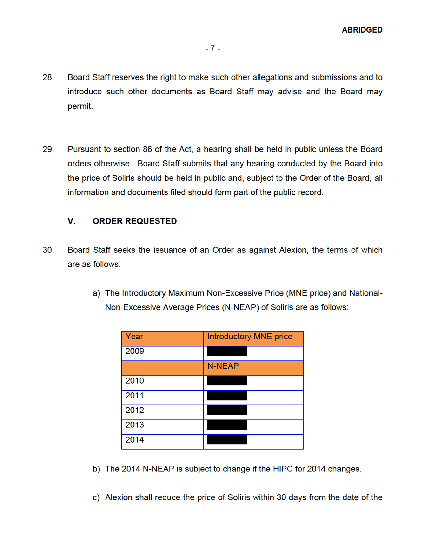- 28. Board Staff reserves the right to make such other allegations and submissions and to introduce such other documents as Board Staff may advise and the Board may permit.
- 29. Pursuant to section 86 of the Act, a hearing shall be held in public unless the Board orders otherwise. Board Staff submits that any hearing conducted by the Board into the price of Soliris should be held in public and, subject to the Order of the Board, all information and documents filed should form part of the public record.

#### V. **ORDER REQUESTED**

- $30<sub>1</sub>$ Board Staff seeks the issuance of an Order as against Alexion, the terms of which are as follows:
	- a) The Introductory Maximum Non-Excessive Price (MNE price) and National-Non-Excessive Average Prices (N-NEAP) of Soliris are as follows:

| Year | <b>Introductory MNE price</b> |
|------|-------------------------------|
| 2009 |                               |
|      | <b>N-NEAP</b>                 |
| 2010 |                               |
| 2011 |                               |
| 2012 |                               |
| 2013 |                               |
| 2014 |                               |

b) The 2014 N-NEAP is subject to change if the HIPC for 2014 changes.

c) Alexion shall reduce the price of Soliris within 30 days from the date of the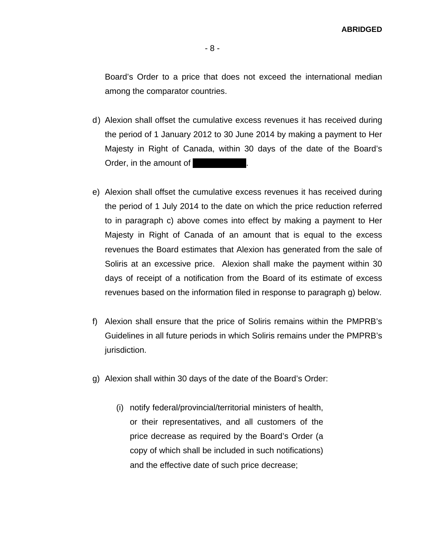Board's Order to a price that does not exceed the international median among the comparator countries.

- d) Alexion shall offset the cumulative excess revenues it has received during the period of 1 January 2012 to 30 June 2014 by making a payment to Her Majesty in Right of Canada, within 30 days of the date of the Board's Order, in the amount of
- e) Alexion shall offset the cumulative excess revenues it has received during the period of 1 July 2014 to the date on which the price reduction referred to in paragraph c) above comes into effect by making a payment to Her Majesty in Right of Canada of an amount that is equal to the excess revenues the Board estimates that Alexion has generated from the sale of Soliris at an excessive price. Alexion shall make the payment within 30 days of receipt of a notification from the Board of its estimate of excess revenues based on the information filed in response to paragraph g) below.
- f) Alexion shall ensure that the price of Soliris remains within the PMPRB's Guidelines in all future periods in which Soliris remains under the PMPRB's jurisdiction.
- g) Alexion shall within 30 days of the date of the Board's Order:
	- (i) notify federal/provincial/territorial ministers of health, or their representatives, and all customers of the price decrease as required by the Board's Order (a copy of which shall be included in such notifications) and the effective date of such price decrease;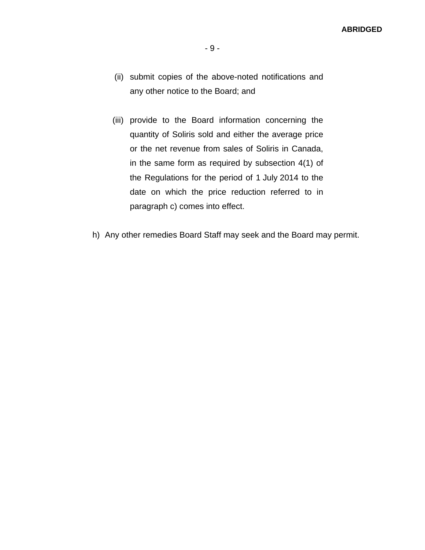- (ii) submit copies of the above-noted notifications and any other notice to the Board; and
- (iii) provide to the Board information concerning the quantity of Soliris sold and either the average price or the net revenue from sales of Soliris in Canada, in the same form as required by subsection 4(1) of the Regulations for the period of 1 July 2014 to the date on which the price reduction referred to in paragraph c) comes into effect.
- h) Any other remedies Board Staff may seek and the Board may permit.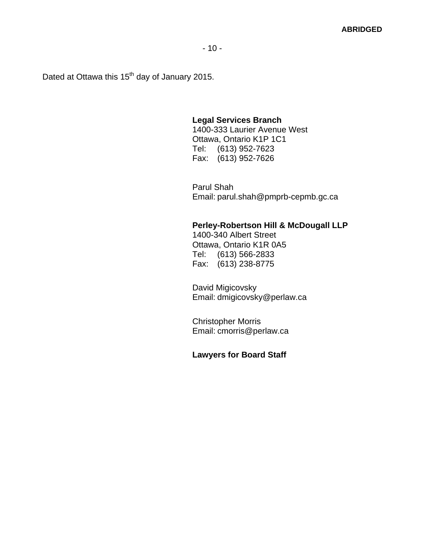Dated at Ottawa this 15<sup>th</sup> day of January 2015.

#### **Legal Services Branch**

1400-333 Laurier Avenue West Ottawa, Ontario K1P 1C1 Tel: (613) 952-7623 Fax: (613) 952-7626

Parul Shah Email: parul.shah@pmprb-cepmb.gc.ca

# **Perley-Robertson Hill & McDougall LLP**

1400-340 Albert Street Ottawa, Ontario K1R 0A5 Tel: (613) 566-2833 Fax: (613) 238-8775

David Migicovsky Email: dmigicovsky@perlaw.ca

Christopher Morris Email: cmorris@perlaw.ca

#### **Lawyers for Board Staff**